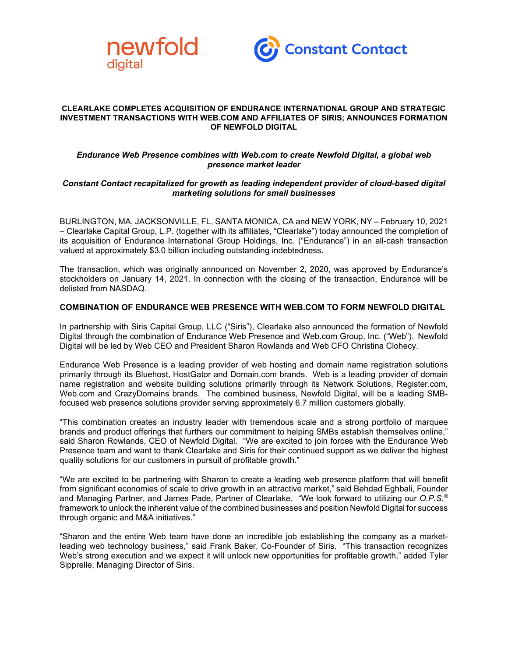



### **CLEARLAKE COMPLETES ACQUISITION OF ENDURANCE INTERNATIONAL GROUP AND STRATEGIC INVESTMENT TRANSACTIONS WITH WEB.COM AND AFFILIATES OF SIRIS; ANNOUNCES FORMATION OF NEWFOLD DIGITAL**

# *Endurance Web Presence combines with Web.com to create Newfold Digital, a global web presence market leader*

## *Constant Contact recapitalized for growth as leading independent provider of cloud-based digital marketing solutions for small businesses*

BURLINGTON, MA, JACKSONVILLE, FL, SANTA MONICA, CA and NEW YORK, NY – February 10, 2021 – Clearlake Capital Group, L.P. (together with its affiliates, "Clearlake") today announced the completion of its acquisition of Endurance International Group Holdings, Inc. ("Endurance") in an all-cash transaction valued at approximately \$3.0 billion including outstanding indebtedness.

The transaction, which was originally announced on November 2, 2020, was approved by Endurance's stockholders on January 14, 2021. In connection with the closing of the transaction, Endurance will be delisted from NASDAQ.

## **COMBINATION OF ENDURANCE WEB PRESENCE WITH WEB.COM TO FORM NEWFOLD DIGITAL**

In partnership with Siris Capital Group, LLC ("Siris"), Clearlake also announced the formation of Newfold Digital through the combination of Endurance Web Presence and Web.com Group, Inc. ("Web"). Newfold Digital will be led by Web CEO and President Sharon Rowlands and Web CFO Christina Clohecy.

Endurance Web Presence is a leading provider of web hosting and domain name registration solutions primarily through its Bluehost, HostGator and Domain.com brands. Web is a leading provider of domain name registration and website building solutions primarily through its Network Solutions, Register.com, Web.com and CrazyDomains brands. The combined business, Newfold Digital, will be a leading SMBfocused web presence solutions provider serving approximately 6.7 million customers globally.

"This combination creates an industry leader with tremendous scale and a strong portfolio of marquee brands and product offerings that furthers our commitment to helping SMBs establish themselves online," said Sharon Rowlands, CEO of Newfold Digital. "We are excited to join forces with the Endurance Web Presence team and want to thank Clearlake and Siris for their continued support as we deliver the highest quality solutions for our customers in pursuit of profitable growth."

"We are excited to be partnering with Sharon to create a leading web presence platform that will benefit from significant economies of scale to drive growth in an attractive market," said Behdad Eghbali, Founder and Managing Partner, and James Pade, Partner of Clearlake. "We look forward to utilizing our *O.P.S.®* framework to unlock the inherent value of the combined businesses and position Newfold Digital for success through organic and M&A initiatives."

"Sharon and the entire Web team have done an incredible job establishing the company as a marketleading web technology business," said Frank Baker, Co-Founder of Siris. "This transaction recognizes Web's strong execution and we expect it will unlock new opportunities for profitable growth," added Tyler Sipprelle, Managing Director of Siris.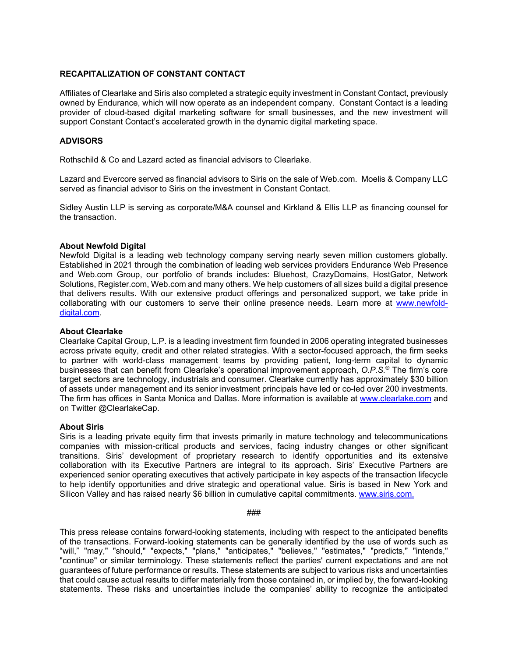# **RECAPITALIZATION OF CONSTANT CONTACT**

Affiliates of Clearlake and Siris also completed a strategic equity investment in Constant Contact, previously owned by Endurance, which will now operate as an independent company. Constant Contact is a leading provider of cloud-based digital marketing software for small businesses, and the new investment will support Constant Contact's accelerated growth in the dynamic digital marketing space.

## **ADVISORS**

Rothschild & Co and Lazard acted as financial advisors to Clearlake.

Lazard and Evercore served as financial advisors to Siris on the sale of Web.com. Moelis & Company LLC served as financial advisor to Siris on the investment in Constant Contact.

Sidley Austin LLP is serving as corporate/M&A counsel and Kirkland & Ellis LLP as financing counsel for the transaction.

### **About Newfold Digital**

Newfold Digital is a leading web technology company serving nearly seven million customers globally. Established in 2021 through the combination of leading web services providers Endurance Web Presence and Web.com Group, our portfolio of brands includes: Bluehost, CrazyDomains, HostGator, Network Solutions, Register.com, Web.com and many others. We help customers of all sizes build a digital presence that delivers results. With our extensive product offerings and personalized support, we take pride in collaborating with our customers to serve their online presence needs. Learn more at [www.newfold](http://www.newfold-digital.com/)[digital.com.](http://www.newfold-digital.com/)

### **About Clearlake**

Clearlake Capital Group, L.P. is a leading investment firm founded in 2006 operating integrated businesses across private equity, credit and other related strategies. With a sector-focused approach, the firm seeks to partner with world-class management teams by providing patient, long-term capital to dynamic businesses that can benefit from Clearlake's operational improvement approach, *O.P.S.*® The firm's core target sectors are technology, industrials and consumer. Clearlake currently has approximately \$30 billion of assets under management and its senior investment principals have led or co-led over 200 investments. The firm has offices in Santa Monica and Dallas. More information is available at [www.clearlake.com](http://www.clearlake.com/) and on Twitter @ClearlakeCap.

### **About Siris**

Siris is a leading private equity firm that invests primarily in mature technology and telecommunications companies with mission-critical products and services, facing industry changes or other significant transitions. Siris' development of proprietary research to identify opportunities and its extensive collaboration with its Executive Partners are integral to its approach. Siris' Executive Partners are experienced senior operating executives that actively participate in key aspects of the transaction lifecycle to help identify opportunities and drive strategic and operational value. Siris is based in New York and Silicon Valley and has raised nearly \$6 billion in cumulative capital commitments[. www.siris.com.](http://www.siris.com/)

#### ###

This press release contains forward-looking statements, including with respect to the anticipated benefits of the transactions. Forward-looking statements can be generally identified by the use of words such as "will," "may," "should," "expects," "plans," "anticipates," "believes," "estimates," "predicts," "intends," "continue" or similar terminology. These statements reflect the parties' current expectations and are not guarantees of future performance or results. These statements are subject to various risks and uncertainties that could cause actual results to differ materially from those contained in, or implied by, the forward-looking statements. These risks and uncertainties include the companies' ability to recognize the anticipated